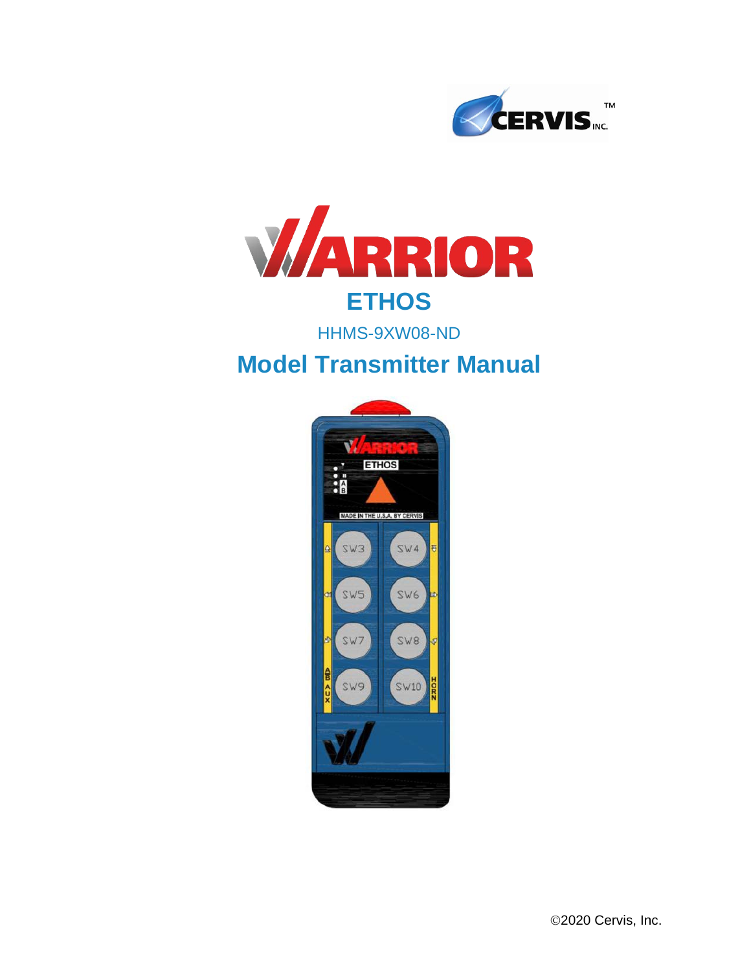



## HHMS-9XW08-ND

# **Model Transmitter Manual**

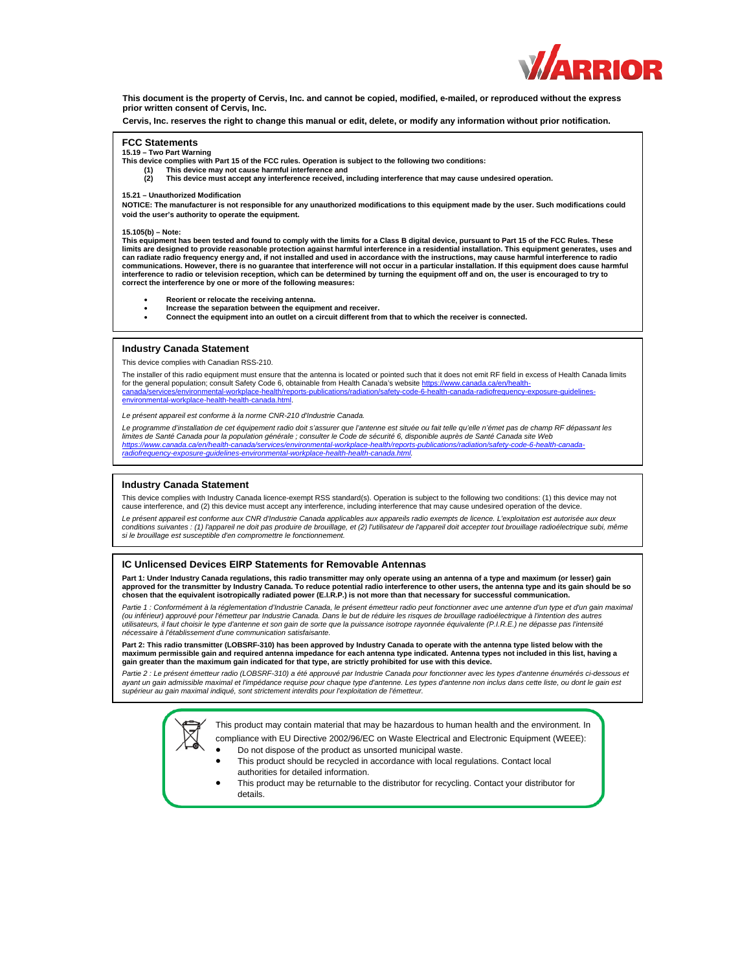

**This document is the property of Cervis, Inc. and cannot be copied, modified, e-mailed, or reproduced without the express prior written consent of Cervis, Inc.**

**Cervis, Inc. reserves the right to change this manual or edit, delete, or modify any information without prior notification.**

#### **FCC Statements**

**15.19 – Two Part Warning**

- **This device complies with Part 15 of the FCC rules. Operation is subject to the following two conditions:**
	- **(1) This device may not cause harmful interference and (2) This device must accept any interference received, including interference that may cause undesired operation.**

#### **15.21 – Unauthorized Modification**

**NOTICE: The manufacturer is not responsible for any unauthorized modifications to this equipment made by the user. Such modifications could void the user's authority to operate the equipment.**

#### **15.105(b) – Note:**

**This equipment has been tested and found to comply with the limits for a Class B digital device, pursuant to Part 15 of the FCC Rules. These limits are designed to provide reasonable protection against harmful interference in a residential installation. This equipment generates, uses and can radiate radio frequency energy and, if not installed and used in accordance with the instructions, may cause harmful interference to radio communications. However, there is no guarantee that interference will not occur in a particular installation. If this equipment does cause harmful interference to radio or television reception, which can be determined by turning the equipment off and on, the user is encouraged to try to correct the interference by one or more of the following measures:**

- **Reorient or relocate the receiving antenna.**
- **Increase the separation between the equipment and receiver.**
- **Connect the equipment into an outlet on a circuit different from that to which the receiver is connected.**

#### **Industry Canada Statement**

This device complies with Canadian RSS-210.

The installer of this radio equipment must ensure that the antenna is located or pointed such that it does not emit RF field in excess of Health Canada limits for the general population; consult Safety Code 6, obtainable from Health Canada's website https://www.canada.ca/en/health-<br>canada/services/environmental-workplace-health/reports-publications/radiation/safety-code-6-health services/environmental-workplace-health/reports-publications/radiation/safety-code environmental-workplace-health-health-canada.html.

*Le présent appareil est conforme à la norme CNR-210 d'Industrie Canada.*

Le programme d'installation de cet équipement radio doit s'assurer que l'antenne est située ou fait telle qu'elle n'émet pas de champ RF dépassant les *limites de Santé Canada pour la population générale ; consulter le Code de sécurité 6, disponible auprès de Santé Canada site Web https://www.canada.ca/en/health-canada/services/environmental-workplace-health/reports-publications/radiation/safety-code-6-health-canada-*

*radiofrequency-exposure-guidelines-environmental-workplace-health-health-canada.html.*

#### **Industry Canada Statement**

This device complies with Industry Canada licence-exempt RSS standard(s). Operation is subject to the following two conditions: (1) this device may not cause interference, and (2) this device must accept any interference, including interference that may cause undesired operation of the device.

*Le présent appareil est conforme aux CNR d'Industrie Canada applicables aux appareils radio exempts de licence. L'exploitation est autorisée aux deux conditions suivantes : (1) l'appareil ne doit pas produire de brouillage, et (2) l'utilisateur de l'appareil doit accepter tout brouillage radioélectrique subi, même si le brouillage est susceptible d'en compromettre le fonctionnement.*

#### **IC Unlicensed Devices EIRP Statements for Removable Antennas**

Part 1: Under Industry Canada regulations, this radio transmitter may only operate using an antenna of a type and maximum (or lesser) gain<br>approved for the transmitter by Industry Canada. To reduce potential radio interfer

Partie 1 : Conformément à la réglementation d'Industrie Canada, le présent émetteur radio peut fonctionner avec une antenne d'un type et d'un gain maximai<br>(ou inférieur) approuvé pour l'émetteur par Industrie Canada. Dans utilisateurs, il faut choisir le type d'antenne et son gain de sorte que la puissance isotrope rayonnée équivalente (P.I.R.E.) ne dépasse pas l'intensité<br>nécessaire à l'établissement d'une communication satisfaisante.

**Part 2: This radio transmitter (LOBSRF-310) has been approved by Industry Canada to operate with the antenna type listed below with the maximum permissible gain and required antenna impedance for each antenna type indicated. Antenna types not included in this list, having a gain greater than the maximum gain indicated for that type, are strictly prohibited for use with this device.**

Partie 2 : Le présent émetteur radio (LOBSRF-310) a été approuvé par Industrie Canada pour fonctionner avec les types d'antenne énumérés ci-dessous et ayant un gain admissible maximal et l'impédance requise pour chaque type d'antenne. Les types d'antenne non inclus dans cette liste, ou dont le gain est<br>supérieur au gain maximal indiqué, sont strictement interdits pour l'

> This product may contain material that may be hazardous to human health and the environment. In compliance with EU Directive 2002/96/EC on Waste Electrical and Electronic Equipment (WEEE):

- Do not dispose of the product as unsorted municipal waste.
- This product should be recycled in accordance with local regulations. Contact local authorities for detailed information.
- This product may be returnable to the distributor for recycling. Contact your distributor for details.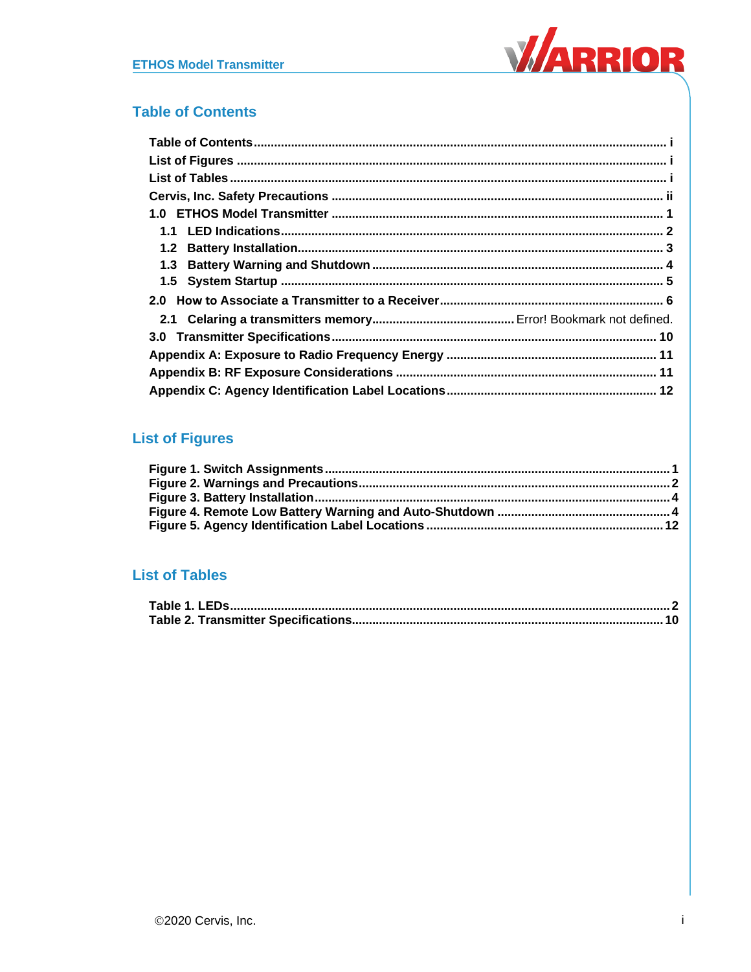

### <span id="page-2-0"></span>**Table of Contents**

### <span id="page-2-1"></span>**List of Figures**

### <span id="page-2-2"></span>**List of Tables**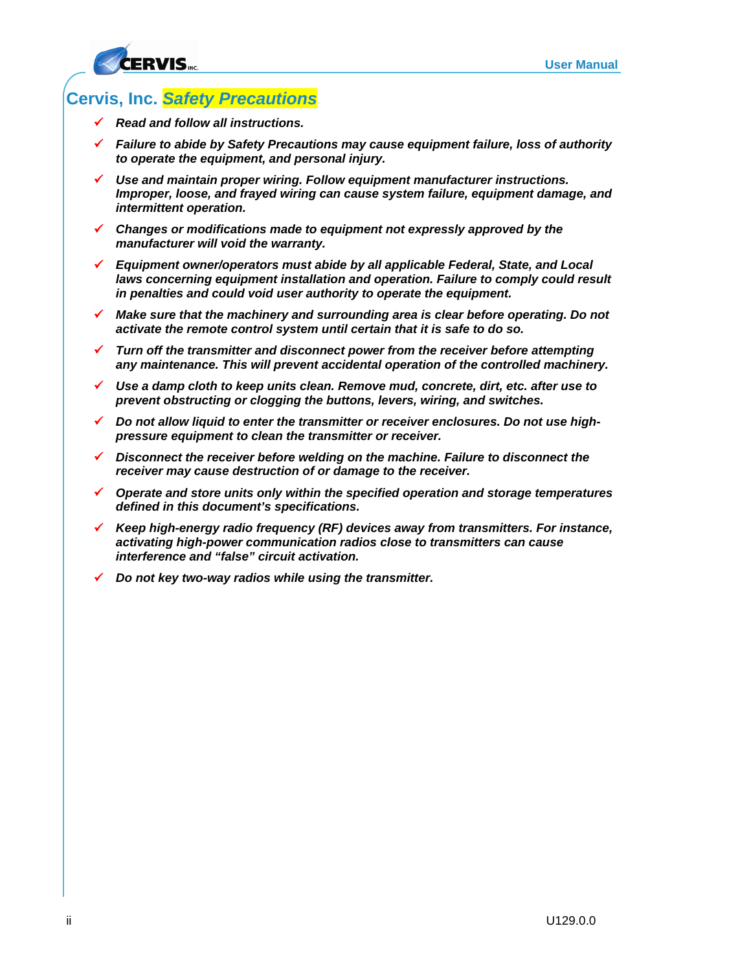

### <span id="page-3-0"></span>**Cervis, Inc.** *Safety Precautions*

- *Read and follow all instructions.*
- *Failure to abide by Safety Precautions may cause equipment failure, loss of authority to operate the equipment, and personal injury.*
- *Use and maintain proper wiring. Follow equipment manufacturer instructions. Improper, loose, and frayed wiring can cause system failure, equipment damage, and intermittent operation.*
- *Changes or modifications made to equipment not expressly approved by the manufacturer will void the warranty.*
- *Equipment owner/operators must abide by all applicable Federal, State, and Local laws concerning equipment installation and operation. Failure to comply could result in penalties and could void user authority to operate the equipment.*
- *Make sure that the machinery and surrounding area is clear before operating. Do not activate the remote control system until certain that it is safe to do so.*
- *Turn off the transmitter and disconnect power from the receiver before attempting any maintenance. This will prevent accidental operation of the controlled machinery.*
- *Use a damp cloth to keep units clean. Remove mud, concrete, dirt, etc. after use to prevent obstructing or clogging the buttons, levers, wiring, and switches.*
- *Do not allow liquid to enter the transmitter or receiver enclosures. Do not use highpressure equipment to clean the transmitter or receiver.*
- *Disconnect the receiver before welding on the machine. Failure to disconnect the receiver may cause destruction of or damage to the receiver.*
- *Operate and store units only within the specified operation and storage temperatures defined in this document's specifications.*
- *Keep high-energy radio frequency (RF) devices away from transmitters. For instance, activating high-power communication radios close to transmitters can cause interference and "false" circuit activation.*
- *Do not key two-way radios while using the transmitter.*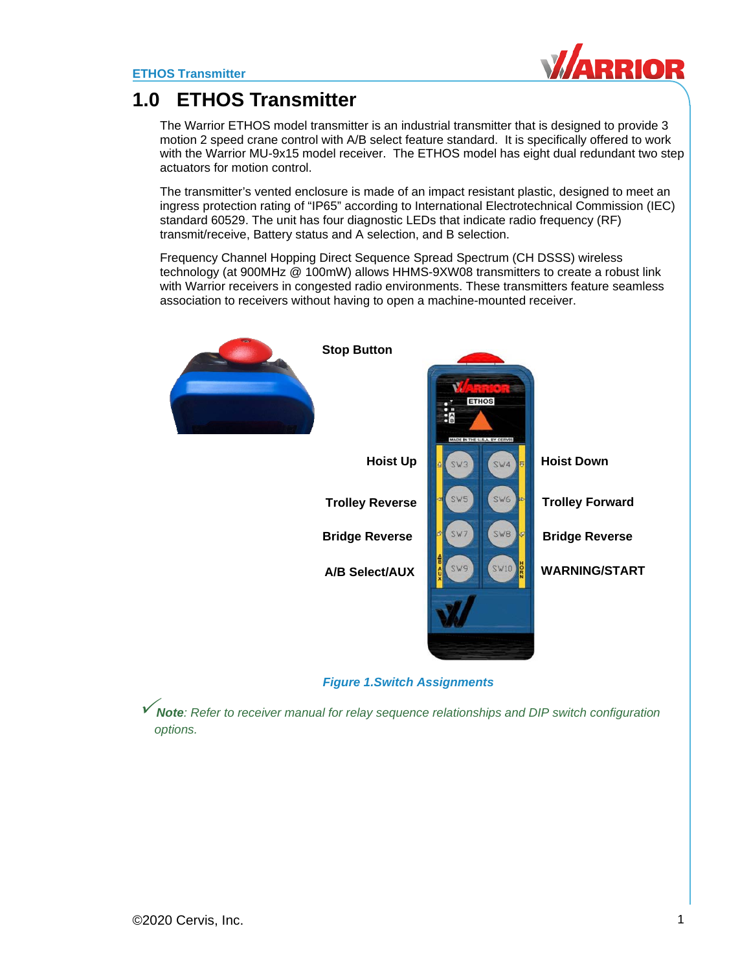

### <span id="page-4-0"></span>**1.0 ETHOS Transmitter**

The Warrior ETHOS model transmitter is an industrial transmitter that is designed to provide 3 motion 2 speed crane control with A/B select feature standard. It is specifically offered to work with the Warrior MU-9x15 model receiver. The ETHOS model has eight dual redundant two step actuators for motion control.

The transmitter's vented enclosure is made of an impact resistant plastic, designed to meet an ingress protection rating of "IP65" according to International Electrotechnical Commission (IEC) standard 60529. The unit has four diagnostic LEDs that indicate radio frequency (RF) transmit/receive, Battery status and A selection, and B selection.

Frequency Channel Hopping Direct Sequence Spread Spectrum (CH DSSS) wireless technology (at 900MHz @ 100mW) allows HHMS-9XW08 transmitters to create a robust link with Warrior receivers in congested radio environments. These transmitters feature seamless association to receivers without having to open a machine-mounted receiver.



*Figure 1.Switch Assignments*

<span id="page-4-1"></span>*Note: Refer to receiver manual for relay sequence relationships and DIP switch configuration options.*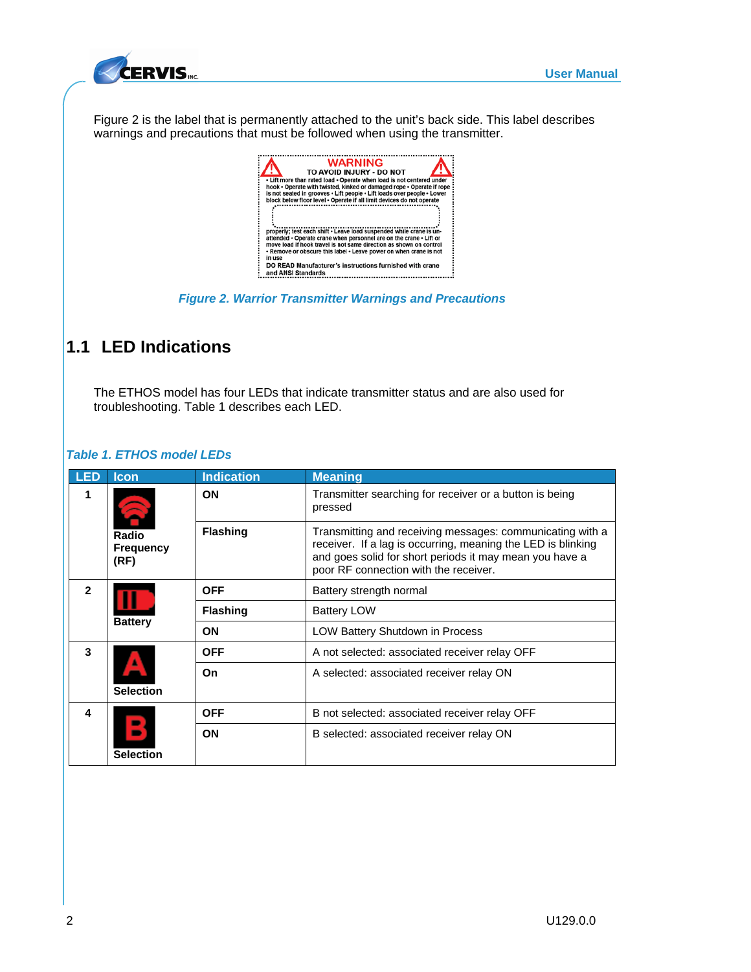

[Figure 2](#page-5-1) is the label that is permanently attached to the unit's back side. This label describes warnings and precautions that must be followed when using the transmitter.



*Figure 2. Warrior Transmitter Warnings and Precautions*

### <span id="page-5-1"></span><span id="page-5-0"></span>**1.1 LED Indications**

The ETHOS model has four LEDs that indicate transmitter status and are also used for troubleshooting. [Table 1](#page-5-2) describes each LED.

### <span id="page-5-2"></span>*Table 1. ETHOS model LEDs*

|              | <b>Icon</b>                       | <b>Indication</b> | <b>Meaning</b>                                                                                                                                                                                                                |
|--------------|-----------------------------------|-------------------|-------------------------------------------------------------------------------------------------------------------------------------------------------------------------------------------------------------------------------|
| 1            | Radio<br><b>Frequency</b><br>(RF) | <b>ON</b>         | Transmitter searching for receiver or a button is being<br>pressed                                                                                                                                                            |
|              |                                   | <b>Flashing</b>   | Transmitting and receiving messages: communicating with a<br>receiver. If a lag is occurring, meaning the LED is blinking<br>and goes solid for short periods it may mean you have a<br>poor RF connection with the receiver. |
| $\mathbf{2}$ | <b>Battery</b>                    | <b>OFF</b>        | Battery strength normal                                                                                                                                                                                                       |
|              |                                   | <b>Flashing</b>   | <b>Battery LOW</b>                                                                                                                                                                                                            |
|              |                                   | ON                | LOW Battery Shutdown in Process                                                                                                                                                                                               |
| 3            | <b>Selection</b>                  | <b>OFF</b>        | A not selected: associated receiver relay OFF                                                                                                                                                                                 |
|              |                                   | <b>On</b>         | A selected: associated receiver relay ON                                                                                                                                                                                      |
| 4            | <b>Selection</b>                  | <b>OFF</b>        | B not selected: associated receiver relay OFF                                                                                                                                                                                 |
|              |                                   | <b>ON</b>         | B selected: associated receiver relay ON                                                                                                                                                                                      |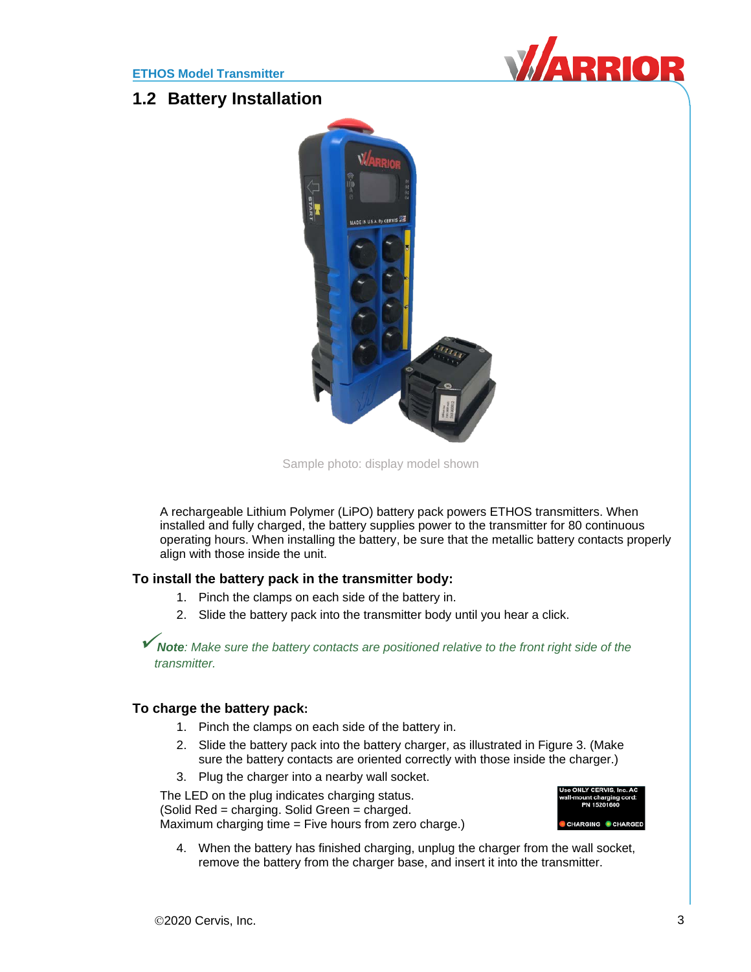

### <span id="page-6-0"></span>**1.2 Battery Installation**



Sample photo: display model shown

A rechargeable Lithium Polymer (LiPO) battery pack powers ETHOS transmitters. When installed and fully charged, the battery supplies power to the transmitter for 80 continuous operating hours. When installing the battery, be sure that the metallic battery contacts properly align with those inside the unit.

#### **To install the battery pack in the transmitter body:**

- 1. Pinch the clamps on each side of the battery in.
- 2. Slide the battery pack into the transmitter body until you hear a click.

*Note: Make sure the battery contacts are positioned relative to the front right side of the transmitter.*

#### **To charge the battery pack:**

- 1. Pinch the clamps on each side of the battery in.
- 2. Slide the battery pack into the battery charger, as illustrated in [Figure 3.](#page-7-1) (Make sure the battery contacts are oriented correctly with those inside the charger.)
- 3. Plug the charger into a nearby wall socket.

The LED on the plug indicates charging status. (Solid Red = charging. Solid Green = charged. Maximum charging time = Five hours from zero charge.)



4. When the battery has finished charging, unplug the charger from the wall socket, remove the battery from the charger base, and insert it into the transmitter.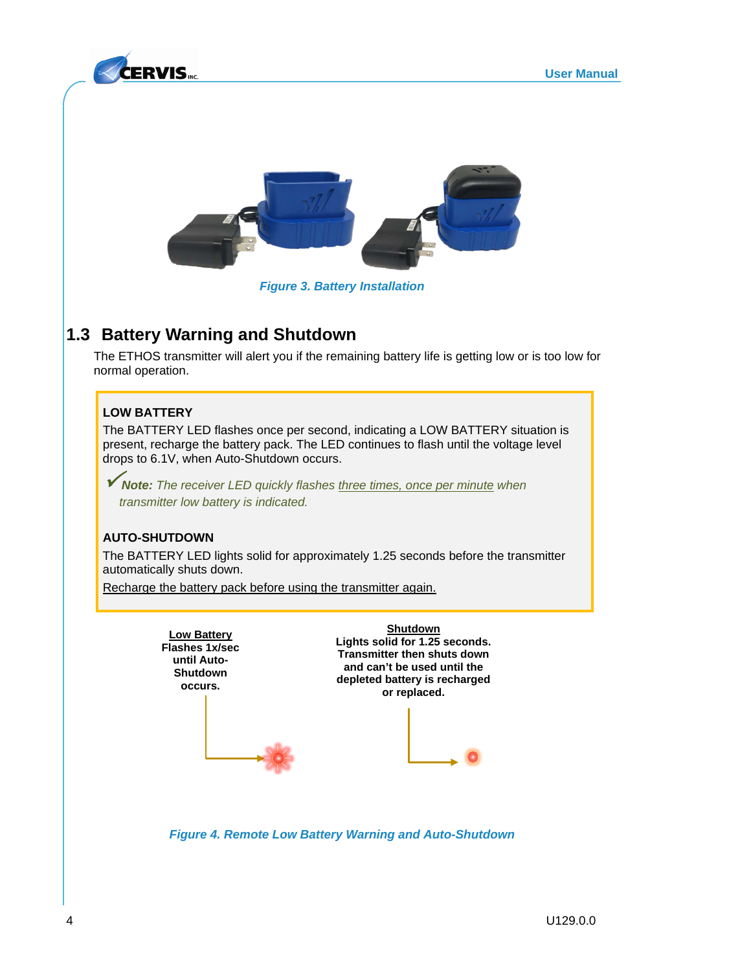



*Figure 3. Battery Installation*

### <span id="page-7-1"></span><span id="page-7-0"></span>**1.3 Battery Warning and Shutdown**

The ETHOS transmitter will alert you if the remaining battery life is getting low or is too low for normal operation.

### **LOW BATTERY**

The BATTERY LED flashes once per second, indicating a LOW BATTERY situation is present, recharge the battery pack. The LED continues to flash until the voltage level drops to 6.1V, when Auto-Shutdown occurs.

*Note: The receiver LED quickly flashes three times, once per minute when transmitter low battery is indicated.*

#### **AUTO-SHUTDOWN**

The BATTERY LED lights solid for approximately 1.25 seconds before the transmitter automatically shuts down.

Recharge the battery pack before using the transmitter again.



<span id="page-7-2"></span>*Figure 4. Remote Low Battery Warning and Auto-Shutdown*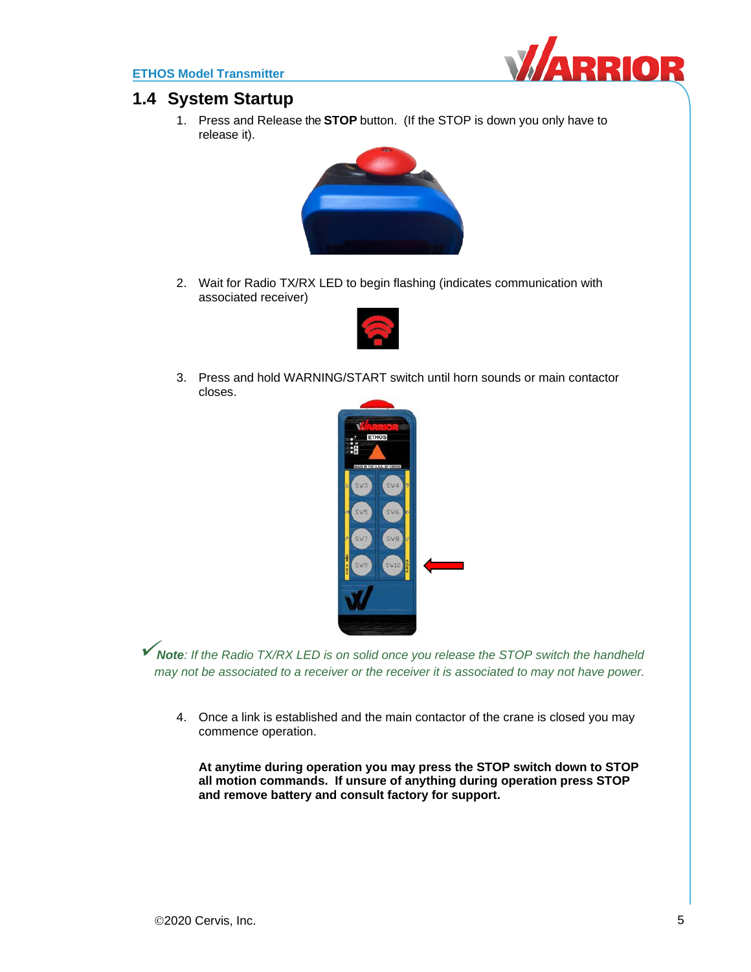

### <span id="page-8-0"></span>**1.4 System Startup**

1. Press and Release the **STOP** button. (If the STOP is down you only have to release it).



2. Wait for Radio TX/RX LED to begin flashing (indicates communication with associated receiver)



3. Press and hold WARNING/START switch until horn sounds or main contactor closes.



*Note: If the Radio TX/RX LED is on solid once you release the STOP switch the handheld may not be associated to a receiver or the receiver it is associated to may not have power.* 

4. Once a link is established and the main contactor of the crane is closed you may commence operation.

**At anytime during operation you may press the STOP switch down to STOP all motion commands. If unsure of anything during operation press STOP and remove battery and consult factory for support.**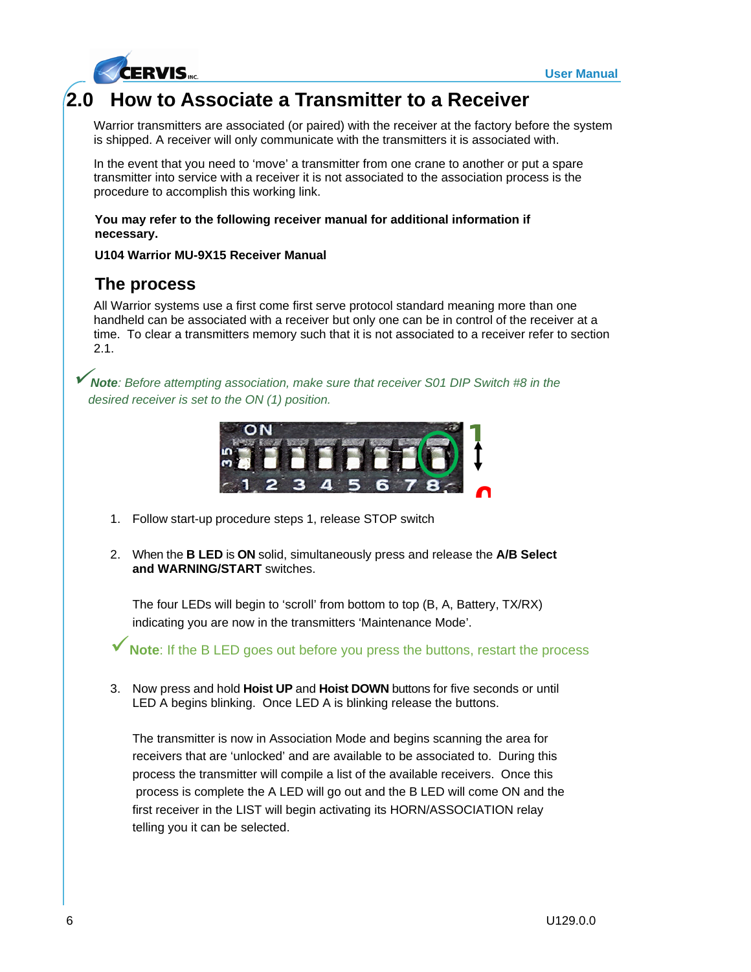

### <span id="page-9-0"></span>**2.0 How to Associate a Transmitter to a Receiver**

Warrior transmitters are associated (or paired) with the receiver at the factory before the system is shipped. A receiver will only communicate with the transmitters it is associated with.

In the event that you need to 'move' a transmitter from one crane to another or put a spare transmitter into service with a receiver it is not associated to the association process is the procedure to accomplish this working link.

#### **You may refer to the following receiver manual for additional information if necessary.**

#### **U104 Warrior MU-9X15 Receiver Manual**

### **The process**

All Warrior systems use a first come first serve protocol standard meaning more than one handheld can be associated with a receiver but only one can be in control of the receiver at a time. To clear a transmitters memory such that it is not associated to a receiver refer to section 2.1.

*Note: Before attempting association, make sure that receiver S01 DIP Switch #8 in the desired receiver is set to the ON (1) position.*



- 1. Follow start-up procedure steps 1, release STOP switch
- 2. When the **B LED** is **ON** solid, simultaneously press and release the **A/B Select and WARNING/START** switches.

The four LEDs will begin to 'scroll' from bottom to top (B, A, Battery, TX/RX) indicating you are now in the transmitters 'Maintenance Mode'.

**Note**: If the B LED goes out before you press the buttons, restart the process

3. Now press and hold **Hoist UP** and **Hoist DOWN** buttons for five seconds or until LED A begins blinking. Once LED A is blinking release the buttons.

The transmitter is now in Association Mode and begins scanning the area for receivers that are 'unlocked' and are available to be associated to. During this process the transmitter will compile a list of the available receivers. Once this process is complete the A LED will go out and the B LED will come ON and the first receiver in the LIST will begin activating its HORN/ASSOCIATION relay telling you it can be selected.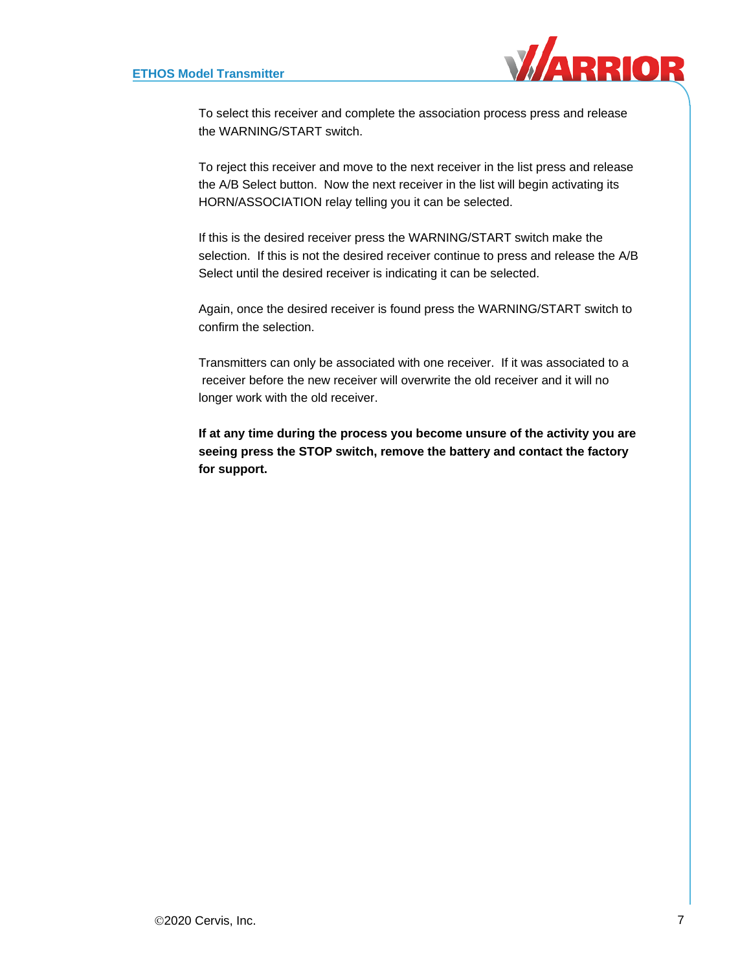

To select this receiver and complete the association process press and release the WARNING/START switch.

To reject this receiver and move to the next receiver in the list press and release the A/B Select button. Now the next receiver in the list will begin activating its HORN/ASSOCIATION relay telling you it can be selected.

If this is the desired receiver press the WARNING/START switch make the selection. If this is not the desired receiver continue to press and release the A/B Select until the desired receiver is indicating it can be selected.

Again, once the desired receiver is found press the WARNING/START switch to confirm the selection.

Transmitters can only be associated with one receiver. If it was associated to a receiver before the new receiver will overwrite the old receiver and it will no longer work with the old receiver.

**If at any time during the process you become unsure of the activity you are seeing press the STOP switch, remove the battery and contact the factory for support.**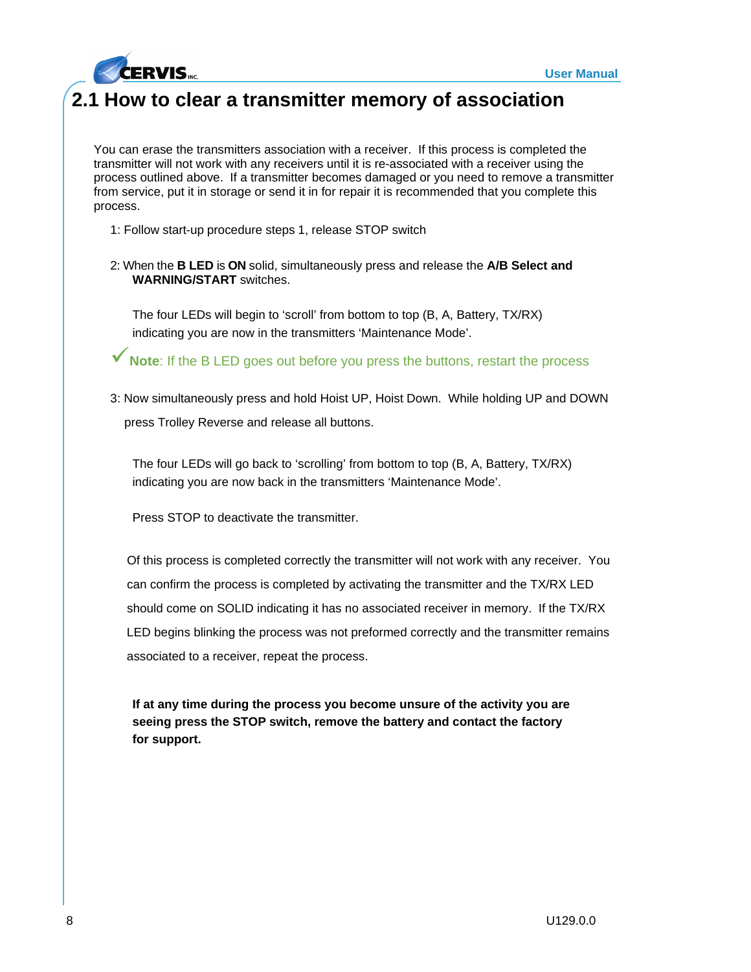

### **2.1 How to clear a transmitter memory of association**

You can erase the transmitters association with a receiver. If this process is completed the transmitter will not work with any receivers until it is re-associated with a receiver using the process outlined above. If a transmitter becomes damaged or you need to remove a transmitter from service, put it in storage or send it in for repair it is recommended that you complete this process.

- 1: Follow start-up procedure steps 1, release STOP switch
- 2: When the **B LED** is **ON** solid, simultaneously press and release the **A/B Select and WARNING/START** switches.

The four LEDs will begin to 'scroll' from bottom to top (B, A, Battery, TX/RX) indicating you are now in the transmitters 'Maintenance Mode'.

**V** Note: If the B LED goes out before you press the buttons, restart the process

3: Now simultaneously press and hold Hoist UP, Hoist Down. While holding UP and DOWN

press Trolley Reverse and release all buttons.

The four LEDs will go back to 'scrolling' from bottom to top (B, A, Battery, TX/RX) indicating you are now back in the transmitters 'Maintenance Mode'.

Press STOP to deactivate the transmitter.

Of this process is completed correctly the transmitter will not work with any receiver. You can confirm the process is completed by activating the transmitter and the TX/RX LED should come on SOLID indicating it has no associated receiver in memory. If the TX/RX LED begins blinking the process was not preformed correctly and the transmitter remains associated to a receiver, repeat the process.

**If at any time during the process you become unsure of the activity you are seeing press the STOP switch, remove the battery and contact the factory for support.**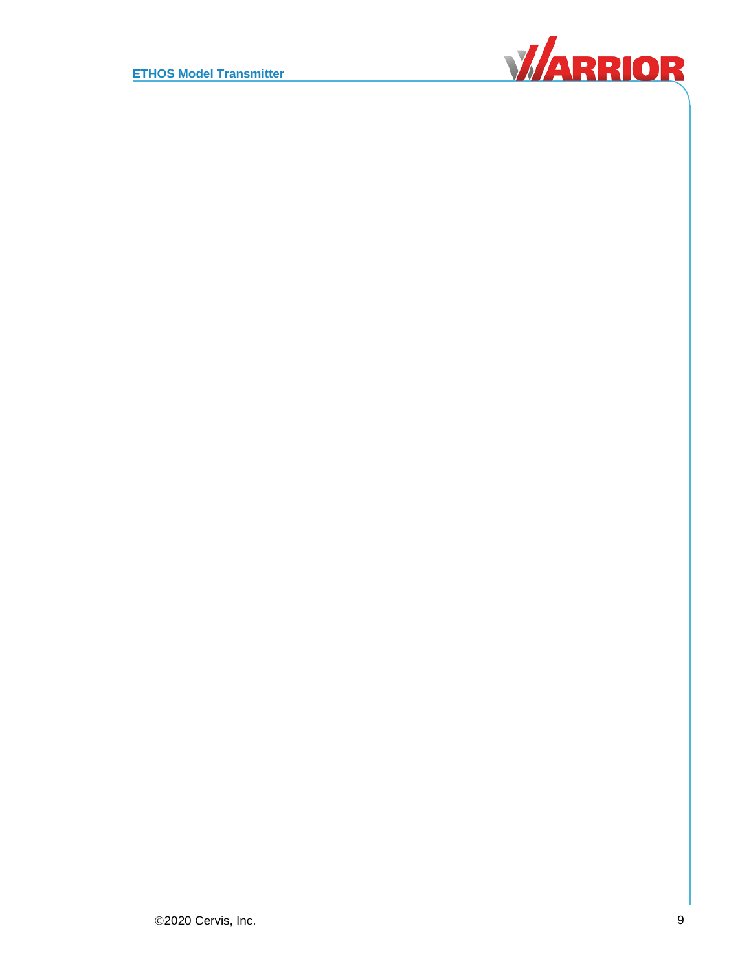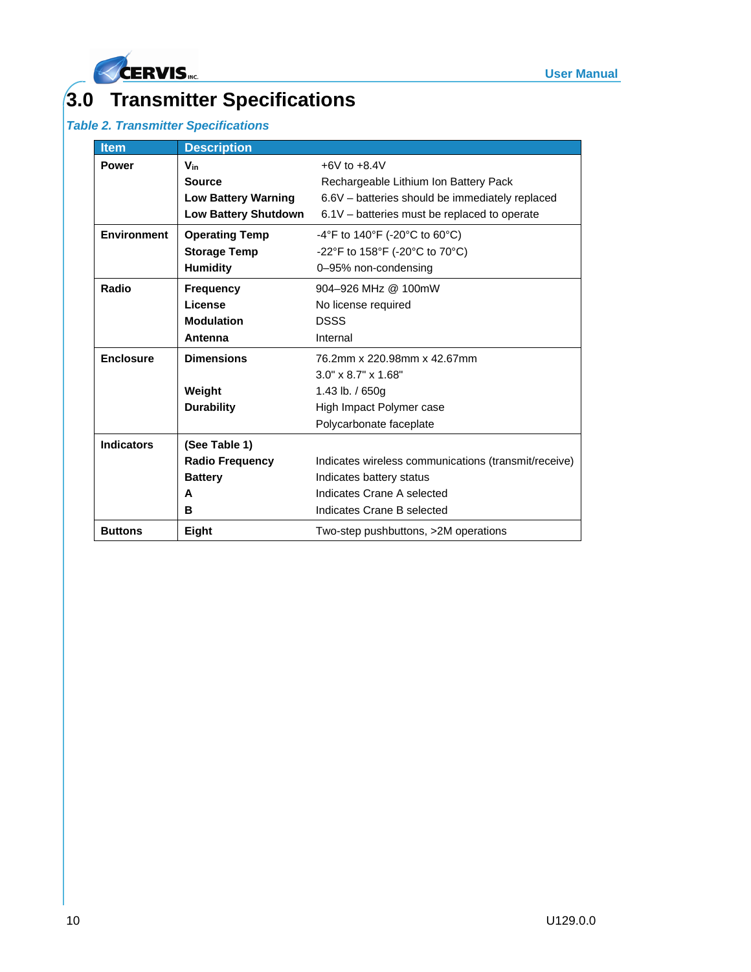

# <span id="page-13-0"></span>**3.0 Transmitter Specifications**

### <span id="page-13-1"></span>*Table 2. Transmitter Specifications*

| <b>Item</b>        | <b>Description</b>         |                                                      |
|--------------------|----------------------------|------------------------------------------------------|
| <b>Power</b>       | $V_{in}$                   | $+6V$ to $+8.4V$                                     |
|                    | <b>Source</b>              | Rechargeable Lithium Ion Battery Pack                |
|                    | <b>Low Battery Warning</b> | 6.6V - batteries should be immediately replaced      |
|                    | Low Battery Shutdown       | 6.1V - batteries must be replaced to operate         |
| <b>Environment</b> | <b>Operating Temp</b>      | -4°F to 140°F (-20°C to 60°C)                        |
|                    | <b>Storage Temp</b>        | -22°F to 158°F (-20°C to 70°C)                       |
|                    | <b>Humidity</b>            | 0-95% non-condensing                                 |
| Radio              | <b>Frequency</b>           | 904-926 MHz @ 100mW                                  |
|                    | License                    | No license required                                  |
|                    | <b>Modulation</b>          | <b>DSSS</b>                                          |
|                    | Antenna                    | Internal                                             |
| <b>Enclosure</b>   | <b>Dimensions</b>          | 76.2mm x 220.98mm x 42.67mm                          |
|                    |                            | $3.0'' \times 8.7'' \times 1.68''$                   |
|                    | Weight                     | 1.43 lb. / 650g                                      |
|                    | <b>Durability</b>          | High Impact Polymer case                             |
|                    |                            | Polycarbonate faceplate                              |
| <b>Indicators</b>  | (See Table 1)              |                                                      |
|                    | <b>Radio Frequency</b>     | Indicates wireless communications (transmit/receive) |
|                    | <b>Battery</b>             | Indicates battery status                             |
|                    | A                          | Indicates Crane A selected                           |
|                    | в                          | Indicates Crane B selected                           |
| <b>Buttons</b>     | Eight                      | Two-step pushbuttons, >2M operations                 |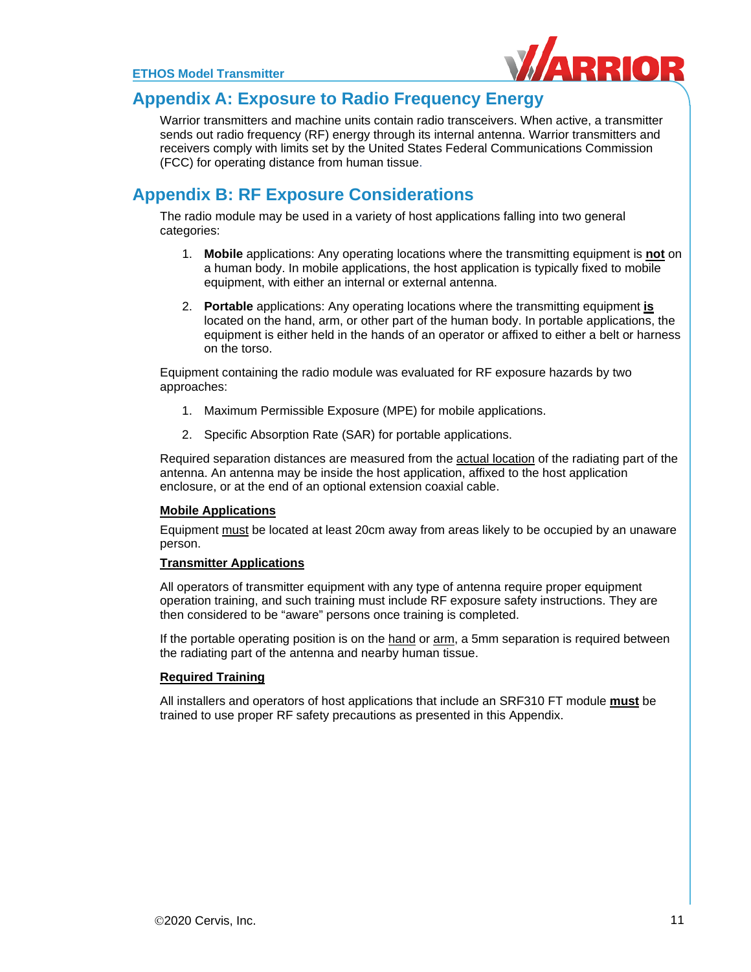

### <span id="page-14-0"></span>**Appendix A: Exposure to Radio Frequency Energy**

Warrior transmitters and machine units contain radio transceivers. When active, a transmitter sends out radio frequency (RF) energy through its internal antenna. Warrior transmitters and receivers comply with limits set by the United States Federal Communications Commission (FCC) for operating distance from human tissue.

### <span id="page-14-1"></span>**Appendix B: RF Exposure Considerations**

The radio module may be used in a variety of host applications falling into two general categories:

- 1. **Mobile** applications: Any operating locations where the transmitting equipment is **not** on a human body. In mobile applications, the host application is typically fixed to mobile equipment, with either an internal or external antenna.
- 2. **Portable** applications: Any operating locations where the transmitting equipment **is** located on the hand, arm, or other part of the human body. In portable applications, the equipment is either held in the hands of an operator or affixed to either a belt or harness on the torso.

Equipment containing the radio module was evaluated for RF exposure hazards by two approaches:

- 1. Maximum Permissible Exposure (MPE) for mobile applications.
- 2. Specific Absorption Rate (SAR) for portable applications.

Required separation distances are measured from the actual location of the radiating part of the antenna. An antenna may be inside the host application, affixed to the host application enclosure, or at the end of an optional extension coaxial cable.

#### **Mobile Applications**

Equipment must be located at least 20cm away from areas likely to be occupied by an unaware person.

#### **Transmitter Applications**

All operators of transmitter equipment with any type of antenna require proper equipment operation training, and such training must include RF exposure safety instructions. They are then considered to be "aware" persons once training is completed.

If the portable operating position is on the hand or arm, a 5mm separation is required between the radiating part of the antenna and nearby human tissue.

#### **Required Training**

All installers and operators of host applications that include an SRF310 FT module **must** be trained to use proper RF safety precautions as presented in this Appendix.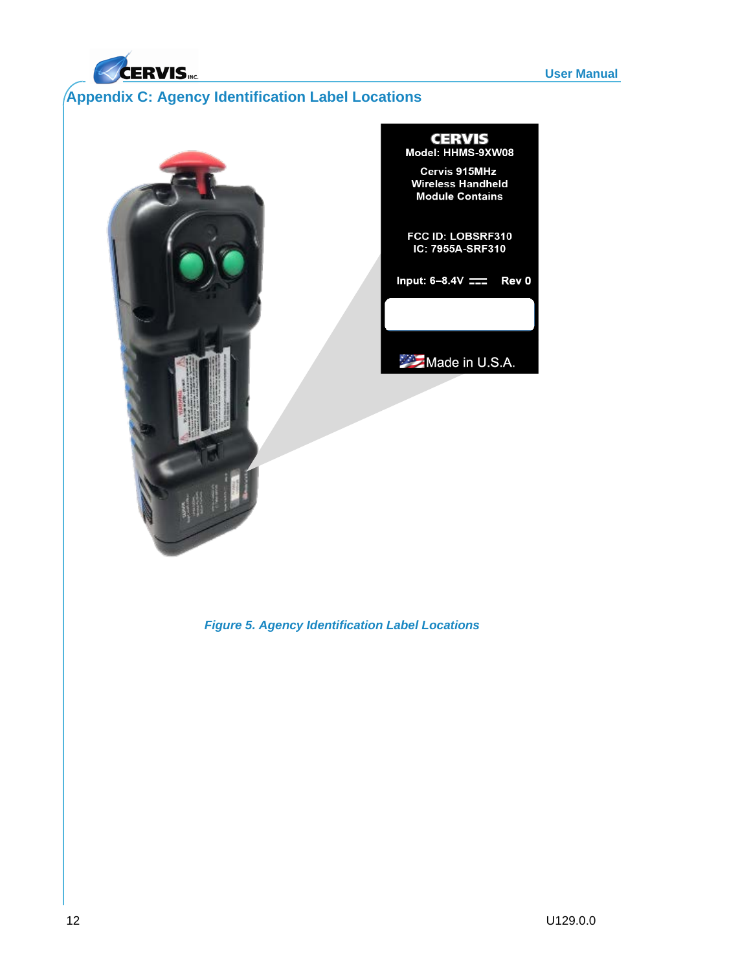

### <span id="page-15-0"></span>**Appendix C: Agency Identification Label Locations**



<span id="page-15-1"></span>*Figure 5. Agency Identification Label Locations*